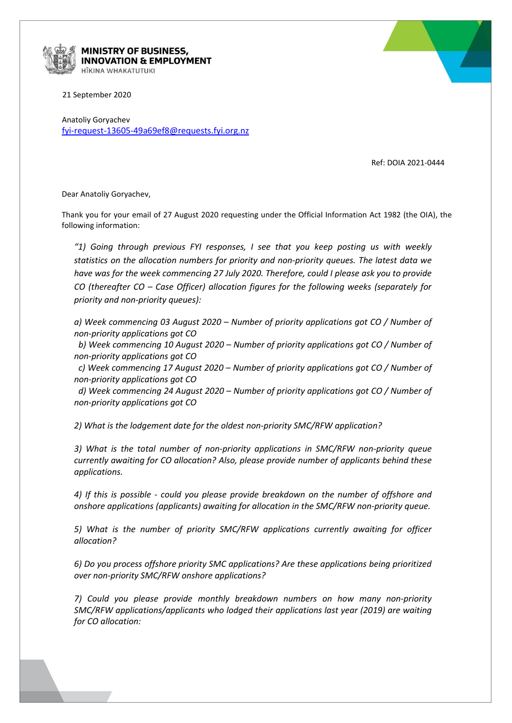

## **MINISTRY OF BUSINESS, INNOVATION & EMPLOYMENT** HĪKINA WHAKATUTUKI

21 September 2020

Anatoliy Goryachev [fyi-request-13605-49a69ef8@requests.fyi.org.nz](mailto:xxxxxxxxxxxxxxxxxxxxxxxxxx@xxxxxxxx.xxx.xxx.xx)

Ref: DOIA 2021-0444

Dear Anatoliy Goryachev,

Thank you for your email of 27 August 2020 requesting under the Official Information Act 1982 (the OIA), the following information:

*"1) Going through previous FYI responses, I see that you keep posting us with weekly statistics on the allocation numbers for priority and non-priority queues. The latest data we have was for the week commencing 27 July 2020. Therefore, could I please ask you to provide CO (thereafter CO – Case Officer) allocation figures for the following weeks (separately for priority and non-priority queues):*

*a) Week commencing 03 August 2020 – Number of priority applications got CO / Number of non-priority applications got CO*

*b) Week commencing 10 August 2020 – Number of priority applications got CO / Number of non-priority applications got CO*

*c) Week commencing 17 August 2020 – Number of priority applications got CO / Number of non-priority applications got CO*

*d) Week commencing 24 August 2020 – Number of priority applications got CO / Number of non-priority applications got CO*

*2) What is the lodgement date for the oldest non-priority SMC/RFW application?*

*3) What is the total number of non-priority applications in SMC/RFW non-priority queue currently awaiting for CO allocation? Also, please provide number of applicants behind these applications.*

*4) If this is possible - could you please provide breakdown on the number of offshore and onshore applications (applicants) awaiting for allocation in the SMC/RFW non-priority queue.*

*5) What is the number of priority SMC/RFW applications currently awaiting for officer allocation?*

*6) Do you process offshore priority SMC applications? Are these applications being prioritized over non-priority SMC/RFW onshore applications?*

*7) Could you please provide monthly breakdown numbers on how many non-priority SMC/RFW applications/applicants who lodged their applications last year (2019) are waiting for CO allocation:*